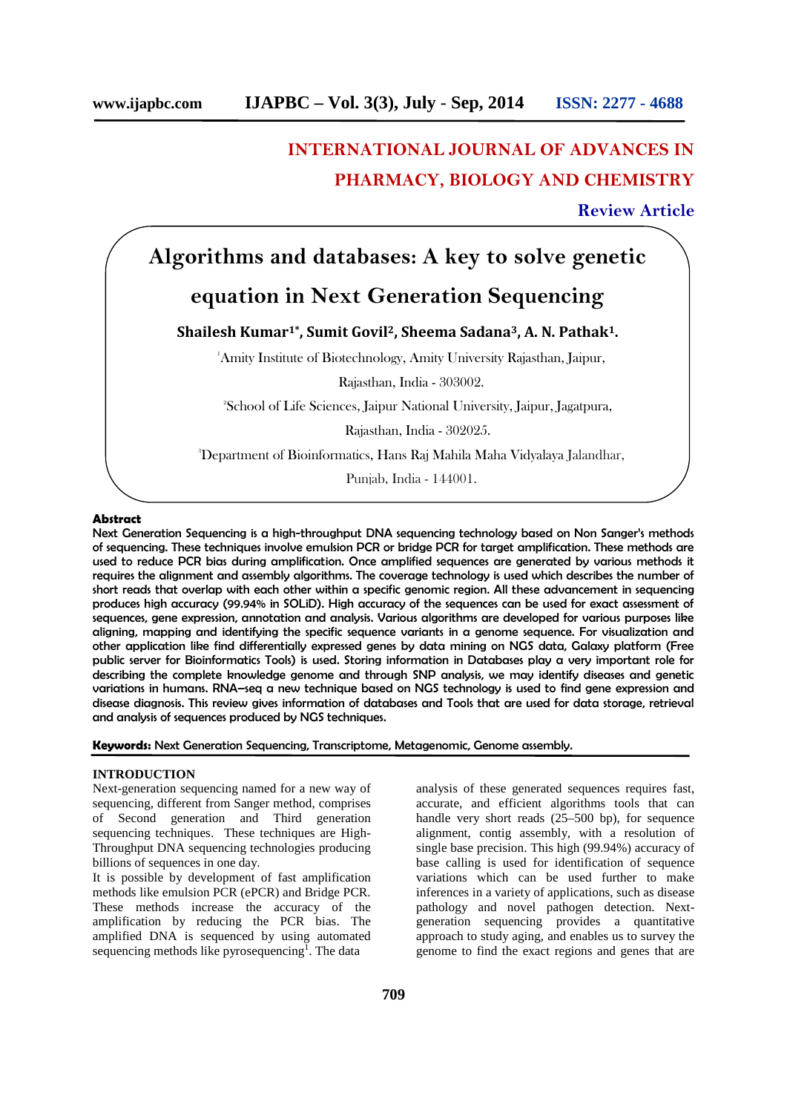# **INTERNATIONAL JOURNAL OF ADVANCES IN PHARMACY, BIOLOGY AND CHEMISTRY**

# **Review Article**

# **Algorithms and databases: A key to solve genetic**

# **equation in Next Generation Sequencing**

**Shailesh Kumar1\* , Sumit Govil2, Sheema Sadana3, A. N. Pathak1.**

<sup>1</sup>Amity Institute of Biotechnology, Amity University Rajasthan, Jaipur,

Rajasthan, India - 303002.

<sup>2</sup>School of Life Sciences, Jaipur National University, Jaipur, Jagatpura,

Rajasthan, India - 302025.

<sup>3</sup>Department of Bioinformatics, Hans Raj Mahila Maha Vidyalaya Jalandhar,

Punjab, India - 144001.

#### **Abstract**

Next Generation Sequencing is a high-throughput DNA sequencing technology based on Non Sanger's methods of sequencing. These techniques involve emulsion PCR or bridge PCR for target amplification. These methods are used to reduce PCR bias during amplification. Once amplified sequences are generated by various methods it requires the alignment and assembly algorithms. The coverage technology is used which describes the number of short reads that overlap with each other within a specific genomic region. All these advancement in sequencing produces high accuracy (99.94% in SOLiD). High accuracy of the sequences can be used for exact assessment of sequences, gene expression, annotation and analysis. Various algorithms are developed for various purposes like aligning, mapping and identifying the specific sequence variants in a genome sequence. For visualization and other application like find differentially expressed genes by data mining on NGS data, Galaxy platform (Free public server for Bioinformatics Tools) is used. Storing information in Databases play a very important role for describing the complete knowledge genome and through SNP analysis, we may identify diseases and genetic variations in humans. RNA–seq a new technique based on NGS technology is used to find gene expression and disease diagnosis. This review gives information of databases and Tools that are used for data storage, retrieval and analysis of sequences produced by NGS techniques.

**Keywords:** Next Generation Sequencing, Transcriptome, Metagenomic, Genome assembly.

### **INTRODUCTION**

Next-generation sequencing named for a new way of sequencing, different from Sanger method, comprises of Second generation and Third generation sequencing techniques. These techniques are High- Throughput DNA sequencing technologies producing billions of sequences in one day.

It is possible by development of fast amplification methods like emulsion PCR (ePCR) and Bridge PCR. These methods increase the accuracy of the amplification by reducing the PCR bias. The amplified DNA is sequenced by using automated sequencing methods like pyrosequencing<sup>1</sup>. The data analysis of these generated sequences requires fast, accurate, and efficient algorithms tools that can handle very short reads  $(25-500$  bp), for sequence alignment, contig assembly, with a resolution of single base precision. This high (99.94%) accuracy of base calling is used for identification of sequence variations which can be used further to make inferences in a variety of applications, such as disease pathology and novel pathogen detection. Next generation sequencing provides a quantitative approach to study aging, and enables us to survey the genome to find the exact regions and genes that are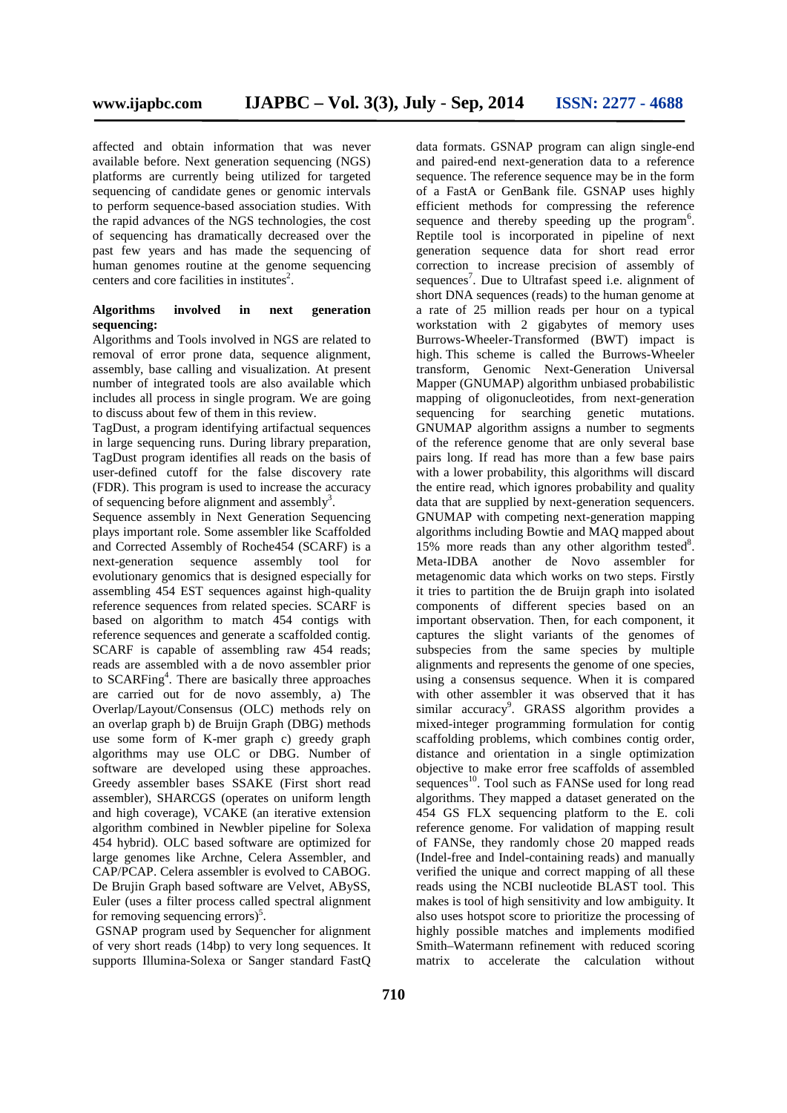affected and obtain information that was never available before. Next generation sequencing (NGS) platforms are currently being utilized for targeted sequencing of candidate genes or genomic intervals to perform sequence-based association studies. With the rapid advances of the NGS technologies, the cost of sequencing has dramatically decreased over the past few years and has made the sequencing of human genomes routine at the genome sequencing centers and core facilities in institutes<sup>2</sup>.

## **Algorithms involved in next generation sequencing:**

Algorithms and Tools involved in NGS are related to removal of error prone data, sequence alignment, assembly, base calling and visualization. At present number of integrated tools are also available which includes all process in single program. We are going to discuss about few of them in this review.

TagDust, a program identifying artifactual sequences in large sequencing runs. During library preparation, TagDust program identifies all reads on the basis of user-defined cutoff for the false discovery rate (FDR). This program is used to increase the accuracy of sequencing before alignment and assembly<sup>3</sup>.

Sequence assembly in Next Generation Sequencing plays important role. Some assembler like Scaffolded and Corrected Assembly of Roche454 (SCARF) is a next-generation sequence assembly tool for evolutionary genomics that is designed especially for assembling 454 EST sequences against high-quality reference sequences from related species. SCARF is based on algorithm to match 454 contigs with reference sequences and generate a scaffolded contig. SCARF is capable of assembling raw 454 reads: reads are assembled with a de novo assembler prior to SCARFing<sup>4</sup>. There are basically three approaches are carried out for de novo assembly, a) The Overlap/Layout/Consensus (OLC) methods rely on an overlap graph b) de Bruijn Graph (DBG) methods use some form of K-mer graph c) greedy graph algorithms may use OLC or DBG. Number of software are developed using these approaches. Greedy assembler bases SSAKE (First short read assembler), SHARCGS (operates on uniform length and high coverage), VCAKE (an iterative extension algorithm combined in Newbler pipeline for Solexa 454 hybrid). OLC based software are optimized for large genomes like Archne, Celera Assembler, and CAP/PCAP. Celera assembler is evolved to CABOG. De Brujin Graph based software are Velvet, ABySS, Euler (uses a filter process called spectral alignment for removing sequencing errors $)^5$ .

GSNAP program used by Sequencher for alignment of very short reads (14bp) to very long sequences. It supports Illumina-Solexa or Sanger standard FastQ

data formats. GSNAP program can align single-end and paired-end next-generation data to a reference sequence. The reference sequence may be in the form of a FastA or GenBank file. GSNAP uses highly efficient methods for compressing the reference sequence and thereby speeding up the program<sup>6</sup>. Reptile tool is incorporated in pipeline of next generation sequence data for short read error correction to increase precision of assembly of sequences<sup>7</sup>. Due to Ultrafast speed i.e. alignment of short DNA sequences (reads) to the human genome at a rate of 25 million reads per hour on a typical workstation with 2 gigabytes of memory uses Burrows-Wheeler-Transformed (BWT) impact is high. This scheme is called the Burrows-Wheeler transform, Genomic Next-Generation Universal Mapper (GNUMAP) algorithm unbiased probabilistic mapping of oligonucleotides, from next-generation sequencing for searching genetic mutations. GNUMAP algorithm assigns a number to segments of the reference genome that are only several base pairs long. If read has more than a few base pairs with a lower probability, this algorithms will discard the entire read, which ignores probability and quality data that are supplied by next-generation sequencers. GNUMAP with competing next-generation mapping algorithms including Bowtie and MAQ mapped about 15% more reads than any other algorithm tested $8$ . Meta-IDBA another de Novo assembler for metagenomic data which works on two steps. Firstly it tries to partition the de Bruijn graph into isolated components of different species based on an important observation. Then, for each component, it captures the slight variants of the genomes of subspecies from the same species by multiple alignments and represents the genome of one species, using a consensus sequence. When it is compared with other assembler it was observed that it has similar accuracy<sup>9</sup>. GRASS algorithm provides a mixed-integer programming formulation for contig scaffolding problems, which combines contig order, distance and orientation in a single optimization objective to make error free scaffolds of assembled sequences<sup>10</sup>. Tool such as FANSe used for long read algorithms. They mapped a dataset generated on the 454 GS FLX sequencing platform to the E. coli reference genome. For validation of mapping result of FANSe, they randomly chose 20 mapped reads (Indel-free and Indel-containing reads) and manually verified the unique and correct mapping of all these reads using the NCBI nucleotide BLAST tool. This makes is tool of high sensitivity and low ambiguity. It also uses hotspot score to prioritize the processing of highly possible matches and implements modified Smith–Watermann refinement with reduced scoring matrix to accelerate the calculation without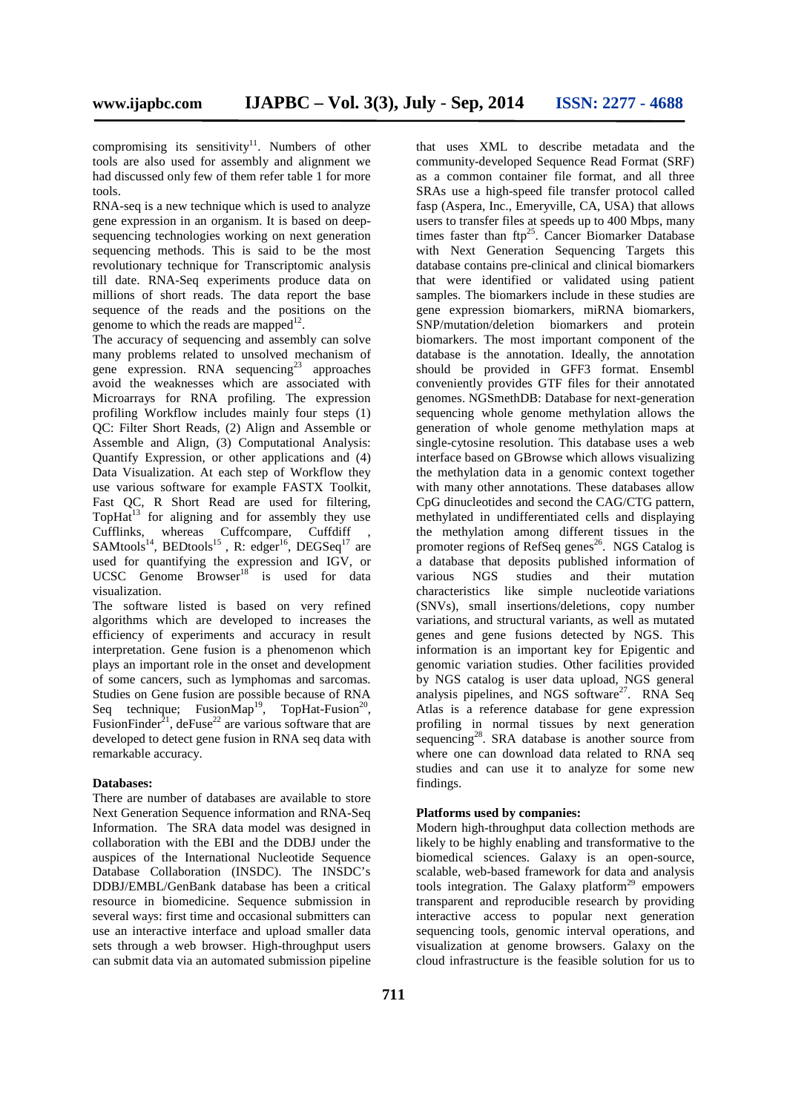compromising its sensitivity $11$ . Numbers of other tools are also used for assembly and alignment we had discussed only few of them refer table 1 for more tools.

RNA-seq is a new technique which is used to analyze gene expression in an organism. It is based on deep sequencing technologies working on next generation sequencing methods. This is said to be the most revolutionary technique for Transcriptomic analysis till date. RNA-Seq experiments produce data on millions of short reads. The data report the base sequence of the reads and the positions on the genome to which the reads are mapped $12$ .

The accuracy of sequencing and assembly can solve many problems related to unsolved mechanism of gene expression. RNA sequencing<sup>23</sup> approaches avoid the weaknesses which are associated with Microarrays for RNA profiling. The expression profiling Workflow includes mainly four steps (1) QC: Filter Short Reads, (2) Align and Assemble or Assemble and Align, (3) Computational Analysis: Quantify Expression, or other applications and (4) Data Visualization. At each step of Workflow they use various software for example FASTX Toolkit, Fast QC, R Short Read are used for filtering, Top $Ha^{13}$  for aligning and for assembly they use Cufflinks, whereas Cuffcompare, Cuffdiff ,  $SAMtools^{14}$ , BEDtools<sup>15</sup>, R: edger<sup>16</sup>, DEGSeq<sup>17</sup> are used for quantifying the expression and IGV, or UCSC Genome Browser<sup>18</sup> is used for data visualization.

The software listed is based on very refined algorithms which are developed to increases the efficiency of experiments and accuracy in result interpretation. Gene fusion is a phenomenon which plays an important role in the onset and development of some cancers, such as lymphomas and sarcomas. Studies on Gene fusion are possible because of RNA Seq technique; Fusion $\text{Map}^{19}$ , TopHat-Fusion<sup>20</sup>, FusionFinder<sup>21</sup>, deFuse<sup>22</sup> are various software that are developed to detect gene fusion in RNA seq data with remarkable accuracy.

#### **Databases:**

There are number of databases are available to store Next Generation Sequence information and RNA-Seq Information. The SRA data model was designed in collaboration with the EBI and the DDBJ under the auspices of the International Nucleotide Sequence Database Collaboration (INSDC). The INSDC's DDBJ/EMBL/GenBank database has been a critical resource in biomedicine. Sequence submission in several ways: first time and occasional submitters can use an interactive interface and upload smaller data sets through a web browser. High-throughput users can submit data via an automated submission pipeline

that uses XML to describe metadata and the community-developed Sequence Read Format (SRF) as a common container file format, and all three SRAs use a high-speed file transfer protocol called fasp (Aspera, Inc., Emeryville, CA, USA) that allows users to transfer files at speeds up to 400 Mbps, many times faster than  $ftp^{25}$ . Cancer Biomarker Database with Next Generation Sequencing Targets this database contains pre-clinical and clinical biomarkers that were identified or validated using patient samples. The biomarkers include in these studies are gene expression biomarkers, miRNA biomarkers, SNP/mutation/deletion biomarkers and protein biomarkers. The most important component of the database is the annotation. Ideally, the annotation should be provided in GFF3 format. Ensembl conveniently provides GTF files for their annotated genomes. NGSmethDB: Database for next-generation sequencing whole genome methylation allows the generation of whole genome methylation maps at single-cytosine resolution. This database uses a web interface based on GBrowse which allows visualizing the methylation data in a genomic context together with many other annotations. These databases allow CpG dinucleotides and second the CAG/CTG pattern, methylated in undifferentiated cells and displaying the methylation among different tissues in the promoter regions of RefSeq genes<sup>26</sup>. NGS Catalog is a database that deposits published information of various NGS studies and their mutation characteristics like simple nucleotide variations (SNVs), small insertions/deletions, copy number variations, and structural variants, as well as mutated genes and gene fusions detected by NGS. This information is an important key for Epigentic and genomic variation studies. Other facilities provided by NGS catalog is user data upload, NGS general analysis pipelines, and NGS software<sup>27</sup>. RNA Seq Atlas is a reference database for gene expression profiling in normal tissues by next generation sequencing<sup>28</sup>. SRA database is another source from where one can download data related to RNA seq studies and can use it to analyze for some new findings.

#### **Platforms used by companies:**

Modern high-throughput data collection methods are likely to be highly enabling and transformative to the biomedical sciences. Galaxy is an open-source, scalable, web-based framework for data and analysis tools integration. The Galaxy platform<sup>29</sup> empowers transparent and reproducible research by providing interactive access to popular next generation sequencing tools, genomic interval operations, and visualization at genome browsers. Galaxy on the cloud infrastructure is the feasible solution for us to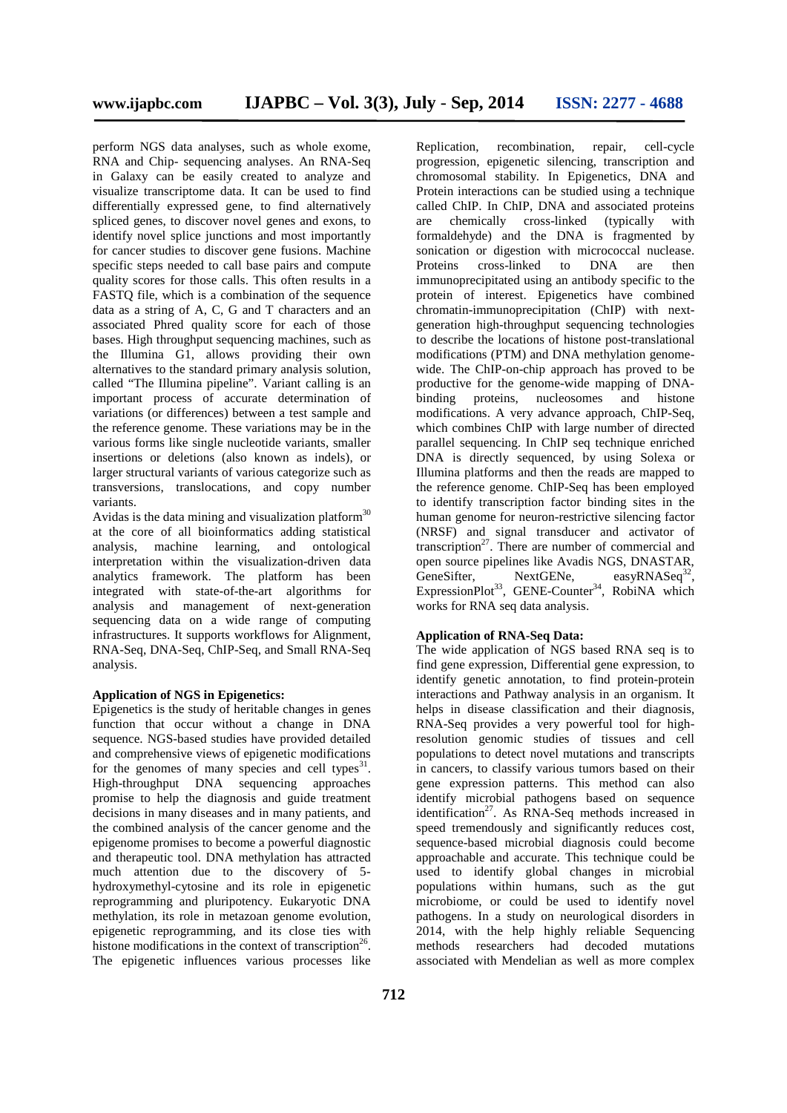perform NGS data analyses, such as whole exome, RNA and Chip- sequencing analyses. An RNA-Seq in Galaxy can be easily created to analyze and visualize transcriptome data. It can be used to find differentially expressed gene, to find alternatively spliced genes, to discover novel genes and exons, to are identify novel splice junctions and most importantly for cancer studies to discover gene fusions. Machine specific steps needed to call base pairs and compute quality scores for those calls. This often results in a FASTQ file, which is a combination of the sequence data as a string of A, C, G and T characters and an associated Phred quality score for each of those bases. High throughput sequencing machines, such as the Illumina G1, allows providing their own alternatives to the standard primary analysis solution, called "The Illumina pipeline". Variant calling is an important process of accurate determination of variations (or differences) between a test sample and the reference genome. These variations may be in the various forms like single nucleotide variants, smaller insertions or deletions (also known as indels), or larger structural variants of various categorize such as transversions, translocations, and copy number variants.

Avidas is the data mining and visualization platform $30$ at the core of all bioinformatics adding statistical analysis, machine learning, and ontological interpretation within the visualization-driven data analytics framework. The platform has been integrated with state-of-the-art algorithms for analysis and management of next-generation sequencing data on a wide range of computing infrastructures. It supports workflows for Alignment, RNA-Seq, DNA-Seq, ChIP-Seq, and Small RNA-Seq analysis.

### **Application of NGS in Epigenetics:**

Epigenetics is the study of heritable changes in genes function that occur without a change in DNA sequence. NGS-based studies have provided detailed and comprehensive views of epigenetic modifications for the genomes of many species and cell types $31$ . High-throughput DNA sequencing approaches promise to help the diagnosis and guide treatment decisions in many diseases and in many patients, and the combined analysis of the cancer genome and the epigenome promises to become a powerful diagnostic and therapeutic tool. DNA methylation has attracted much attention due to the discovery of 5 hydroxymethyl-cytosine and its role in epigenetic reprogramming and pluripotency. Eukaryotic DNA methylation, its role in metazoan genome evolution, epigenetic reprogramming, and its close ties with histone modifications in the context of transcription<sup>26</sup>. The epigenetic influences various processes like

Replication, recombination, repair, cell-cycle progression, epigenetic silencing, transcription and chromosomal stability. In Epigenetics, DNA and Protein interactions can be studied using a technique called ChIP. In ChIP, DNA and associated proteins chemically cross-linked (typically with formaldehyde) and the DNA is fragmented by sonication or digestion with micrococcal nuclease. Proteins cross-linked to DNA are then immunoprecipitated using an antibody specific to the protein of interest. Epigenetics have combined chromatin-immunoprecipitation (ChIP) with next generation high-throughput sequencing technologies to describe the locations of histone post-translational modifications (PTM) and DNA methylation genome wide. The ChIP-on-chip approach has proved to be productive for the genome-wide mapping of DNA binding proteins, nucleosomes and histone modifications. A very advance approach, ChIP-Seq, which combines ChIP with large number of directed parallel sequencing. In ChIP seq technique enriched DNA is directly sequenced, by using Solexa or Illumina platforms and then the reads are mapped to the reference genome. ChIP-Seq has been employed to identify transcription factor binding sites in the human genome for neuron-restrictive silencing factor (NRSF) and signal transducer and activator of transcription<sup>27</sup>. There are number of commercial and open source pipelines like Avadis NGS, DNASTAR, GeneSifter, NextGENe, easyRNASeq<sup>32</sup>, ExpressionPlot<sup>33</sup>, GENE-Counter<sup>34</sup>, RobiNA which works for RNA seq data analysis.

## **Application of RNA-Seq Data:**

The wide application of NGS based RNA seq is to find gene expression, Differential gene expression, to identify genetic annotation, to find protein-protein interactions and Pathway analysis in an organism. It helps in disease classification and their diagnosis, RNA-Seq provides a very powerful tool for highresolution genomic studies of tissues and cell populations to detect novel mutations and transcripts in cancers, to classify various tumors based on their gene expression patterns. This method can also identify microbial pathogens based on sequence identification<sup>27</sup>. As RNA-Seq methods increased in speed tremendously and significantly reduces cost, sequence-based microbial diagnosis could become approachable and accurate. This technique could be used to identify global changes in microbial populations within humans, such as the gut microbiome, or could be used to identify novel pathogens. In a study on neurological disorders in 2014, with the help highly reliable Sequencing methods researchers had decoded mutations associated with Mendelian as well as more complex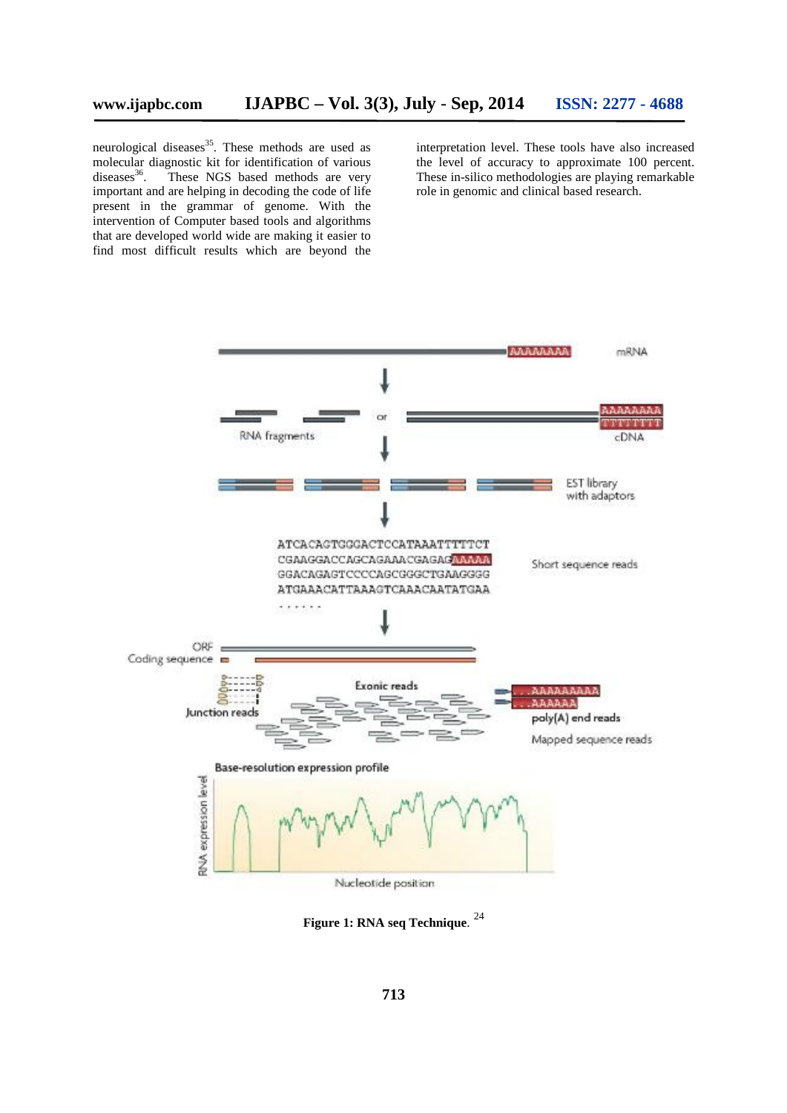neurological diseases<sup>35</sup>. These methods are used as molecular diagnostic kit for identification of various diseases<sup>36</sup>. These NGS based methods are very important and are helping in decoding the code of life present in the grammar of genome. With the intervention of Computer based tools and algorithms that are developed world wide are making it easier to find most difficult results which are beyond the

interpretation level. These tools have also increased the level of accuracy to approximate 100 percent. These in-silico methodologies are playing remarkable role in genomic and clinical based research.



**Figure 1: RNA seq Technique**. <sup>24</sup>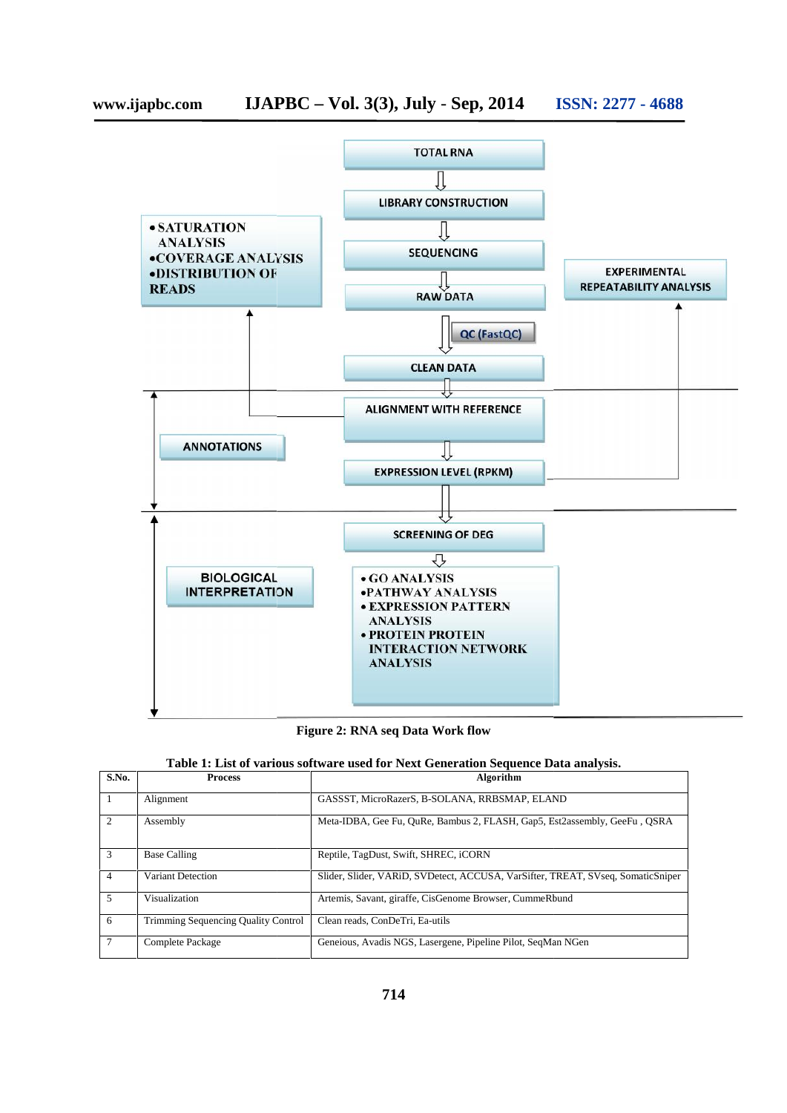

**Figure 2: RNA seq Data Work flow** 

|  |  | Table 1: List of various software used for Next Generation Sequence Data analysis. |  |
|--|--|------------------------------------------------------------------------------------|--|
|  |  |                                                                                    |  |

| S.No. | <b>Process</b>                             | Algorithm                                                                       |
|-------|--------------------------------------------|---------------------------------------------------------------------------------|
|       | Alignment                                  | GASSST, MicroRazerS, B-SOLANA, RRBSMAP, ELAND                                   |
| 2     | Assembly                                   | Meta-IDBA, Gee Fu, QuRe, Bambus 2, FLASH, Gap5, Est2assembly, GeeFu, QSRA       |
| 3     | <b>Base Calling</b>                        | Reptile, TagDust, Swift, SHREC, iCORN                                           |
| 4     | Variant Detection                          | Slider, Slider, VARiD, SVDetect, ACCUSA, VarSifter, TREAT, SVseq, SomaticSniper |
| 5     | Visualization                              | Artemis, Savant, giraffe, CisGenome Browser, CummeRbund                         |
| 6     | <b>Trimming Sequencing Quality Control</b> | Clean reads, ConDeTri, Ea-utils                                                 |
|       | Complete Package                           | Geneious, Avadis NGS, Lasergene, Pipeline Pilot, SegMan NGen                    |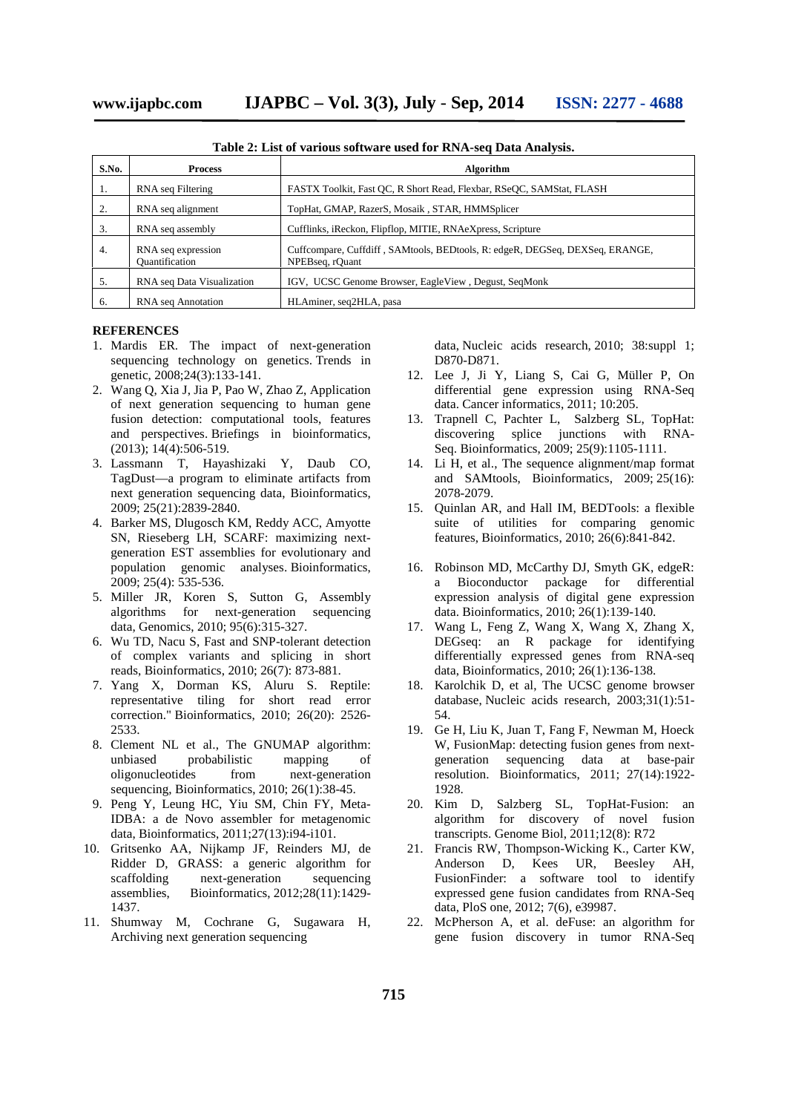| S.No.            | <b>Process</b>                       | Algorithm                                                                                       |  |  |
|------------------|--------------------------------------|-------------------------------------------------------------------------------------------------|--|--|
| 1.               | RNA seq Filtering                    | FASTX Toolkit, Fast OC, R Short Read, Flexbar, RSeOC, SAMStat, FLASH                            |  |  |
| 2.               | RNA seq alignment                    | TopHat, GMAP, RazerS, Mosaik, STAR, HMMSplicer                                                  |  |  |
| 3.               | RNA seq assembly                     | Cufflinks, iReckon, Flipflop, MITIE, RNAeXpress, Scripture                                      |  |  |
| $\overline{4}$ . | RNA seq expression<br>Quantification | Cuffcompare, Cuffdiff, SAMtools, BEDtools, R: edgeR, DEGSeq, DEXSeq, ERANGE,<br>NPEBseq, rOuant |  |  |
| 5.               | RNA seq Data Visualization           | IGV, UCSC Genome Browser, EagleView, Degust, SeqMonk                                            |  |  |
| 6.               | RNA seq Annotation                   | HLAminer, seg2HLA, pasa                                                                         |  |  |

**Table 2: List of various software used for RNA-seq Data Analysis.**

#### **REFERENCES**

- 1. Mardis ER. The impact of next-generation sequencing technology on genetics. Trends in genetic, 2008;24(3):133-141.
- 2. Wang Q, Xia J, Jia P, Pao W, Zhao Z, Application of next generation sequencing to human gene fusion detection: computational tools, features and perspectives. Briefings in bioinformatics, (2013); 14(4):506-519.
- 3. Lassmann T, Hayashizaki Y, Daub CO, TagDust—a program to eliminate artifacts from next generation sequencing data, Bioinformatics, 2009; 25(21):2839-2840.
- 4. Barker MS, Dlugosch KM, Reddy ACC, Amyotte SN, Rieseberg LH, SCARF: maximizing next generation EST assemblies for evolutionary and population genomic analyses. Bioinformatics, 2009; 25(4): 535-536.
- 5. Miller JR, Koren S, Sutton G, Assembly algorithms for next-generation sequencing data, Genomics, 2010; 95(6):315-327.
- 6. Wu TD, Nacu S, Fast and SNP-tolerant detection of complex variants and splicing in short reads, Bioinformatics, 2010; 26(7): 873-881.
- 7. Yang X, Dorman KS, Aluru S. Reptile: representative tiling for short read error correction." Bioinformatics, 2010; 26(20): 2526- 2533.
- 8. Clement NL et al., The GNUMAP algorithm: unbiased probabilistic mapping of oligonucleotides from next-generation sequencing, Bioinformatics, 2010; 26(1):38-45.
- 9. Peng Y, Leung HC, Yiu SM, Chin FY, Meta-IDBA: a de Novo assembler for metagenomic data, Bioinformatics, 2011;27(13):i94-i101.
- 10. Gritsenko AA, Nijkamp JF, Reinders MJ, de Ridder D, GRASS: a generic algorithm for scaffolding next-generation sequencing assemblies, Bioinformatics, 2012;28(11):1429- 1437.
- 11. Shumway M, Cochrane G, Sugawara H, Archiving next generation sequencing

data, Nucleic acids research, 2010; 38:suppl 1; D870-D871.

- 12. Lee J, Ji Y, Liang S, Cai G, Müller P, On differential gene expression using RNA-Seq data. Cancer informatics, 2011; 10:205.
- 13. Trapnell C, Pachter L, Salzberg SL, TopHat: discovering splice junctions with RNA-Seq. Bioinformatics, 2009; 25(9):1105-1111.
- 14. Li H, et al., The sequence alignment/map format and SAMtools, Bioinformatics, 2009; 25(16): 2078-2079.
- 15. Quinlan AR, and Hall IM, BEDTools: a flexible suite of utilities for comparing genomic features, Bioinformatics, 2010; 26(6):841-842.
- 16. Robinson MD, McCarthy DJ, Smyth GK, edgeR: a Bioconductor package for differential expression analysis of digital gene expression data. Bioinformatics, 2010; 26(1):139-140.
- 17. Wang L, Feng Z, Wang X, Wang X, Zhang X, DEGseq: an R package for identifying differentially expressed genes from RNA-seq data, Bioinformatics, 2010; 26(1):136-138.
- 18. Karolchik D, et al, The UCSC genome browser database, Nucleic acids research, 2003;31(1):51- 54.
- 19. Ge H, Liu K, Juan T, Fang F, Newman M, Hoeck W, FusionMap: detecting fusion genes from next generation sequencing data at base-pair resolution. Bioinformatics, 2011; 27(14):1922- 1928.
- 20. Kim D, Salzberg SL, TopHat-Fusion: an algorithm for discovery of novel fusion transcripts. Genome Biol, 2011;12(8): R72
- 21. Francis RW, Thompson-Wicking K., Carter KW, Anderson D, Kees UR, Beesley AH, FusionFinder: a software tool to identify expressed gene fusion candidates from RNA-Seq data, PloS one, 2012; 7(6), e39987.
- 22. McPherson A, et al. deFuse: an algorithm for gene fusion discovery in tumor RNA-Seq